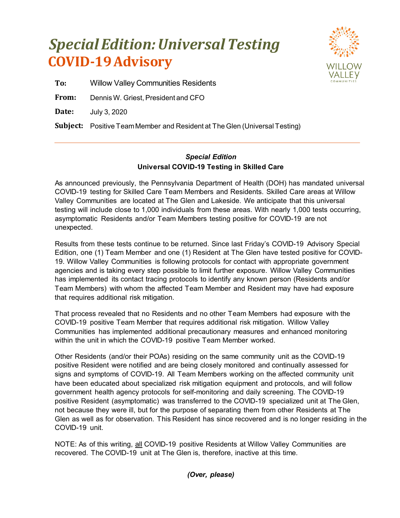## **COVID-19Advisory** *Special Edition: Universal Testing*



**To:** Willow Valley Communities Residents

**From:** Dennis W. Griest, President and CFO

**Date:** July 3, 2020

**Subject:** Positive Team Member and Resident at The Glen (Universal Testing)

## *Special Edition* **Universal COVID-19 Testing in Skilled Care**

As announced previously, the Pennsylvania Department of Health (DOH) has mandated universal COVID-19 testing for Skilled Care Team Members and Residents. Skilled Care areas at Willow Valley Communities are located at The Glen and Lakeside. We anticipate that this universal testing will include close to 1,000 individuals from these areas. With nearly 1,000 tests occurring, asymptomatic Residents and/or Team Members testing positive for COVID-19 are not unexpected.

Results from these tests continue to be returned. Since last Friday's COVID-19 Advisory Special Edition, one (1) Team Member and one (1) Resident at The Glen have tested positive for COVID-19. Willow Valley Communities is following protocols for contact with appropriate government agencies and is taking every step possible to limit further exposure. Willow Valley Communities has implemented its contact tracing protocols to identify any known person (Residents and/or Team Members) with whom the affected Team Member and Resident may have had exposure that requires additional risk mitigation.

That process revealed that no Residents and no other Team Members had exposure with the COVID-19 positive Team Member that requires additional risk mitigation. Willow Valley Communities has implemented additional precautionary measures and enhanced monitoring within the unit in which the COVID-19 positive Team Member worked.

Other Residents (and/or their POAs) residing on the same community unit as the COVID-19 positive Resident were notified and are being closely monitored and continually assessed for signs and symptoms of COVID-19. All Team Members working on the affected community unit have been educated about specialized risk mitigation equipment and protocols, and will follow government health agency protocols for self-monitoring and daily screening. The COVID-19 positive Resident (asymptomatic) was transferred to the COVID-19 specialized unit at The Glen, not because they were ill, but for the purpose of separating them from other Residents at The Glen as well as for observation. This Resident has since recovered and is no longer residing in the COVID-19 unit.

NOTE: As of this writing, all COVID-19 positive Residents at Willow Valley Communities are recovered. The COVID-19 unit at The Glen is, therefore, inactive at this time.